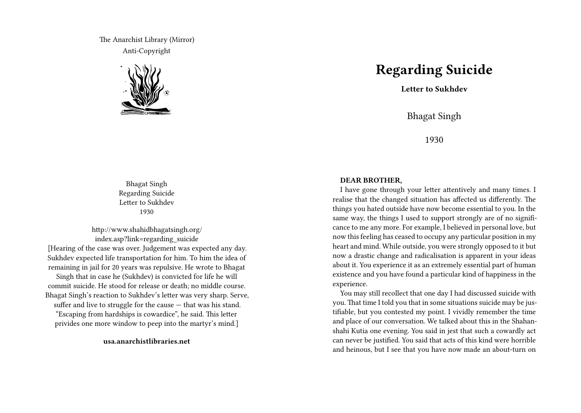The Anarchist Library (Mirror) Anti-Copyright



Bhagat Singh Regarding Suicide Letter to Sukhdev 1930

http://www.shahidbhagatsingh.org/ index.asp?link=regarding\_suicide [Hearing of the case was over. Judgement was expected any day. Sukhdev expected life transportation for him. To him the idea of remaining in jail for 20 years was repulsive. He wrote to Bhagat Singh that in case he (Sukhdev) is convicted for life he will commit suicide. He stood for release or death; no middle course. Bhagat Singh's reaction to Sukhdev's letter was very sharp. Serve, suffer and live to struggle for the cause — that was his stand. "Escaping from hardships is cowardice", he said. This letter privides one more window to peep into the martyr's mind.]

**usa.anarchistlibraries.net**

## **Regarding Suicide**

**Letter to Sukhdev**

Bhagat Singh

1930

## **DEAR BROTHER,**

I have gone through your letter attentively and many times. I realise that the changed situation has affected us differently. The things you hated outside have now become essential to you. In the same way, the things I used to support strongly are of no significance to me any more. For example, I believed in personal love, but now this feeling has ceased to occupy any particular position in my heart and mind. While outside, you were strongly opposed to it but now a drastic change and radicalisation is apparent in your ideas about it. You experience it as an extremely essential part of human existence and you have found a particular kind of happiness in the experience.

You may still recollect that one day I had discussed suicide with you. That time I told you that in some situations suicide may be justifiable, but you contested my point. I vividly remember the time and place of our conversation. We talked about this in the Shahanshahi Kutia one evening. You said in jest that such a cowardly act can never be justified. You said that acts of this kind were horrible and heinous, but I see that you have now made an about-turn on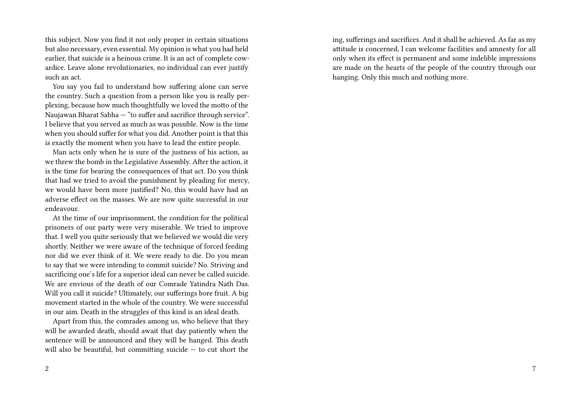this subject. Now you find it not only proper in certain situations but also necessary, even essential. My opinion is what you had held earlier, that suicide is a heinous crime. It is an act of complete cowardice. Leave alone revolutionaries, no individual can ever justify such an act.

You say you fail to understand how suffering alone can serve the country. Such a question from a person like you is really perplexing, because how much thoughtfully we loved the motto of the Naujawan Bharat Sabha — "to suffer and sacrifice through service". I believe that you served as much as was possible. Now is the time when you should suffer for what you did. Another point is that this is exactly the moment when you have to lead the entire people.

Man acts only when he is sure of the justness of his action, as we threw the bomb in the Legislative Assembly. After the action, it is the time for bearing the consequences of that act. Do you think that had we tried to avoid the punishment by pleading for mercy, we would have been more justified? No, this would have had an adverse effect on the masses. We are now quite successful in our endeavour.

At the time of our imprisonment, the condition for the political prisoners of our party were very miserable. We tried to improve that. I well you quite seriously that we believed we would die very shortly. Neither we were aware of the technique of forced feeding nor did we ever think of it. We were ready to die. Do you mean to say that we were intending to commit suicide? No. Striving and sacrificing one's life for a superior ideal can never be called suicide. We are envious of the death of our Comrade Yatindra Nath Das. Will you call it suicide? Ultimately, our sufferings bore fruit. A big movement started in the whole of the country. We were successful in our aim. Death in the struggles of this kind is an ideal death.

Apart from this, the comrades among us, who believe that they will be awarded death, should await that day patiently when the sentence will be announced and they will be hanged. This death will also be beautiful, but committing suicide — to cut short the

ing, sufferings and sacrifices. And it shall be achieved. As far as my attitude is concerned, I can welcome facilities and amnesty for all only when its effect is permanent and some indelible impressions are made on the hearts of the people of the country through our hanging. Only this much and nothing more.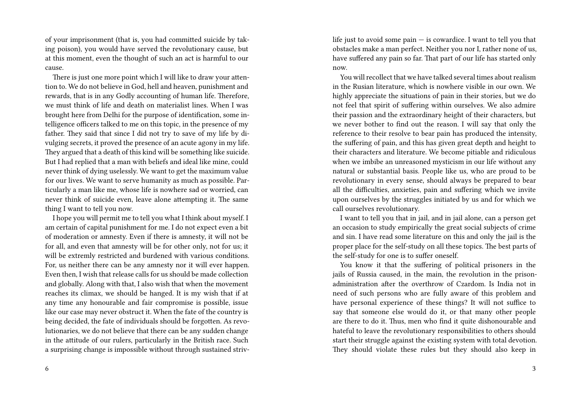of your imprisonment (that is, you had committed suicide by taking poison), you would have served the revolutionary cause, but at this moment, even the thought of such an act is harmful to our cause.

There is just one more point which I will like to draw your attention to. We do not believe in God, hell and heaven, punishment and rewards, that is in any Godly accounting of human life. Therefore, we must think of life and death on materialist lines. When I was brought here from Delhi for the purpose of identification, some intelligence officers talked to me on this topic, in the presence of my father. They said that since I did not try to save of my life by divulging secrets, it proved the presence of an acute agony in my life. They argued that a death of this kind will be something like suicide. But I had replied that a man with beliefs and ideal like mine, could never think of dying uselessly. We want to get the maximum value for our lives. We want to serve humanity as much as possible. Particularly a man like me, whose life is nowhere sad or worried, can never think of suicide even, leave alone attempting it. The same thing I want to tell you now.

I hope you will permit me to tell you what I think about myself. I am certain of capital punishment for me. I do not expect even a bit of moderation or amnesty. Even if there is amnesty, it will not be for all, and even that amnesty will be for other only, not for us; it will be extremly restricted and burdened with various conditions. For, us neither there can be any amnesty nor it will ever happen. Even then, I wish that release calls for us should be made collection and globally. Along with that, I also wish that when the movement reaches its climax, we should be hanged. It is my wish that if at any time any honourable and fair compromise is possible, issue like our case may never obstruct it. When the fate of the country is being decided, the fate of individuals should be forgotten. As revolutionaries, we do not believe that there can be any sudden change in the attitude of our rulers, particularly in the British race. Such a surprising change is impossible without through sustained strivlife just to avoid some pain  $-$  is cowardice. I want to tell you that obstacles make a man perfect. Neither you nor I, rather none of us, have suffered any pain so far. That part of our life has started only now.

You will recollect that we have talked several times about realism in the Rusian literature, which is nowhere visible in our own. We highly appreciate the situations of pain in their stories, but we do not feel that spirit of suffering within ourselves. We also admire their passion and the extraordinary height of their characters, but we never bother to find out the reason. I will say that only the reference to their resolve to bear pain has produced the intensity, the suffering of pain, and this has given great depth and height to their characters and literature. We become pitiable and ridiculous when we imbibe an unreasoned mysticism in our life without any natural or substantial basis. People like us, who are proud to be revolutionary in every sense, should always be prepared to bear all the difficulties, anxieties, pain and suffering which we invite upon ourselves by the struggles initiated by us and for which we call ourselves revolutionary.

I want to tell you that in jail, and in jail alone, can a person get an occasion to study empirically the great social subjects of crime and sin. I have read some literature on this and only the jail is the proper place for the self-study on all these topics. The best parts of the self-study for one is to suffer oneself.

You know it that the suffering of political prisoners in the jails of Russia caused, in the main, the revolution in the prisonadministration after the overthrow of Czardom. Is India not in need of such persons who are fully aware of this problem and have personal experience of these things? It will not suffice to say that someone else would do it, or that many other people are there to do it. Thus, men who find it quite dishonourable and hateful to leave the revolutionary responsibilities to others should start their struggle against the existing system with total devotion. They should violate these rules but they should also keep in